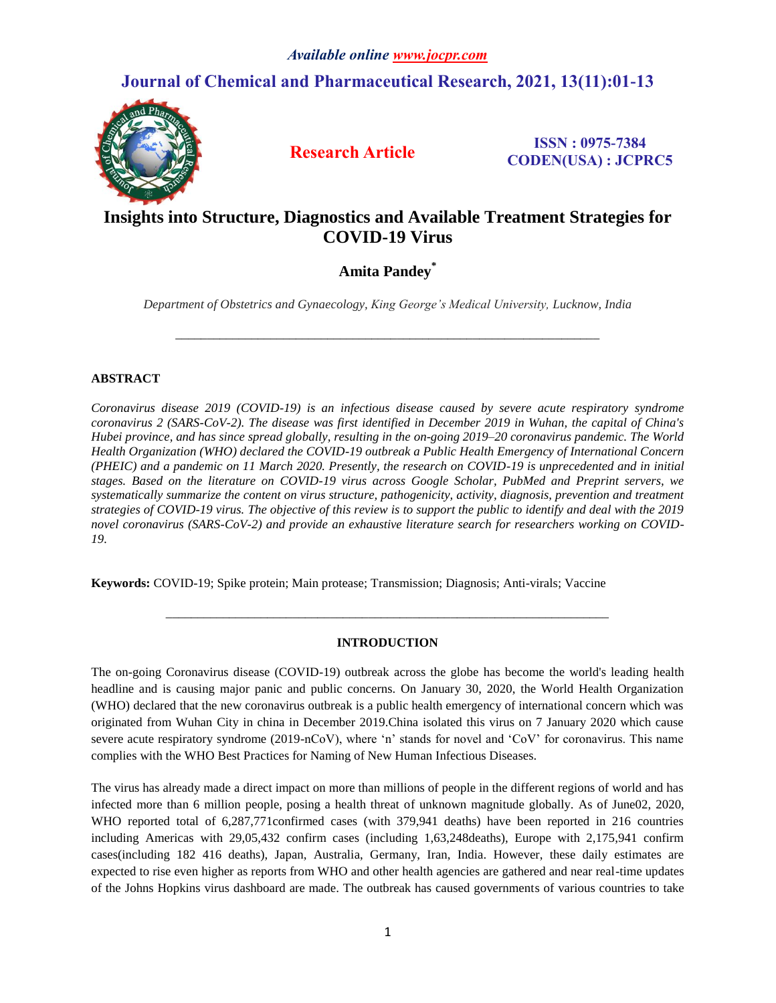# **Journal of Chemical and Pharmaceutical Research, 2021, 13(11):01-13**



**Research Article ISSN : 0975-7384 CODEN(USA) : JCPRC5**

# **Insights into Structure, Diagnostics and Available Treatment Strategies for COVID-19 Virus**

# **Amita Pandey\***

*Department of Obstetrics and Gynaecology, King George's Medical University, Lucknow, India*

*\_\_\_\_\_\_\_\_\_\_\_\_\_\_\_\_\_\_\_\_\_\_\_\_\_\_\_\_\_\_\_\_\_\_\_\_\_\_\_\_\_\_\_\_\_\_\_\_\_\_\_\_\_\_\_\_\_\_\_\_\_\_\_\_\_\_\_*

# **ABSTRACT**

*Coronavirus disease 2019 (COVID-19) is an infectious disease caused by severe acute respiratory syndrome coronavirus 2 (SARS-CoV-2). The disease was first identified in December 2019 in Wuhan, the capital of China's Hubei province, and has since spread globally, resulting in the on-going 2019–20 coronavirus pandemic. The World Health Organization (WHO) declared the COVID-19 outbreak a Public Health Emergency of International Concern (PHEIC) and a pandemic on 11 March 2020. Presently, the research on COVID-19 is unprecedented and in initial stages. Based on the literature on COVID-19 virus across Google Scholar, PubMed and Preprint servers, we systematically summarize the content on virus structure, pathogenicity, activity, diagnosis, prevention and treatment strategies of COVID-19 virus. The objective of this review is to support the public to identify and deal with the 2019 novel coronavirus (SARS-CoV-2) and provide an exhaustive literature search for researchers working on COVID-19.*

**Keywords:** COVID-19; Spike protein; Main protease; Transmission; Diagnosis; Anti-virals; Vaccine

# **INTRODUCTION**

*\_\_\_\_\_\_\_\_\_\_\_\_\_\_\_\_\_\_\_\_\_\_\_\_\_\_\_\_\_\_\_\_\_\_\_\_\_\_\_\_\_\_\_\_\_\_\_\_\_\_\_\_\_\_\_\_\_\_\_\_\_\_\_\_\_\_\_\_\_\_*

The on-going Coronavirus disease (COVID-19) outbreak across the globe has become the world's leading health headline and is causing major panic and public concerns. On January 30, 2020, the World Health Organization (WHO) declared that the new coronavirus outbreak is a public health emergency of international concern which was originated from Wuhan City in china in December 2019.China isolated this virus on 7 January 2020 which cause severe acute respiratory syndrome (2019-nCoV), where 'n' stands for novel and 'CoV' for coronavirus. This name complies with the WHO Best Practices for Naming of New Human Infectious Diseases.

The virus has already made a direct impact on more than millions of people in the different regions of world and has infected more than 6 million people, posing a health threat of unknown magnitude globally. As of June02, 2020, WHO reported total of 6,287,771confirmed cases (with 379,941 deaths) have been reported in 216 countries including Americas with 29,05,432 confirm cases (including 1,63,248deaths), Europe with 2,175,941 confirm cases(including 182 416 deaths), Japan, Australia, Germany, Iran, India. However, these daily estimates are expected to rise even higher as reports from WHO and other health agencies are gathered and near real-time updates of the Johns Hopkins virus dashboard are made. The outbreak has caused governments of various countries to take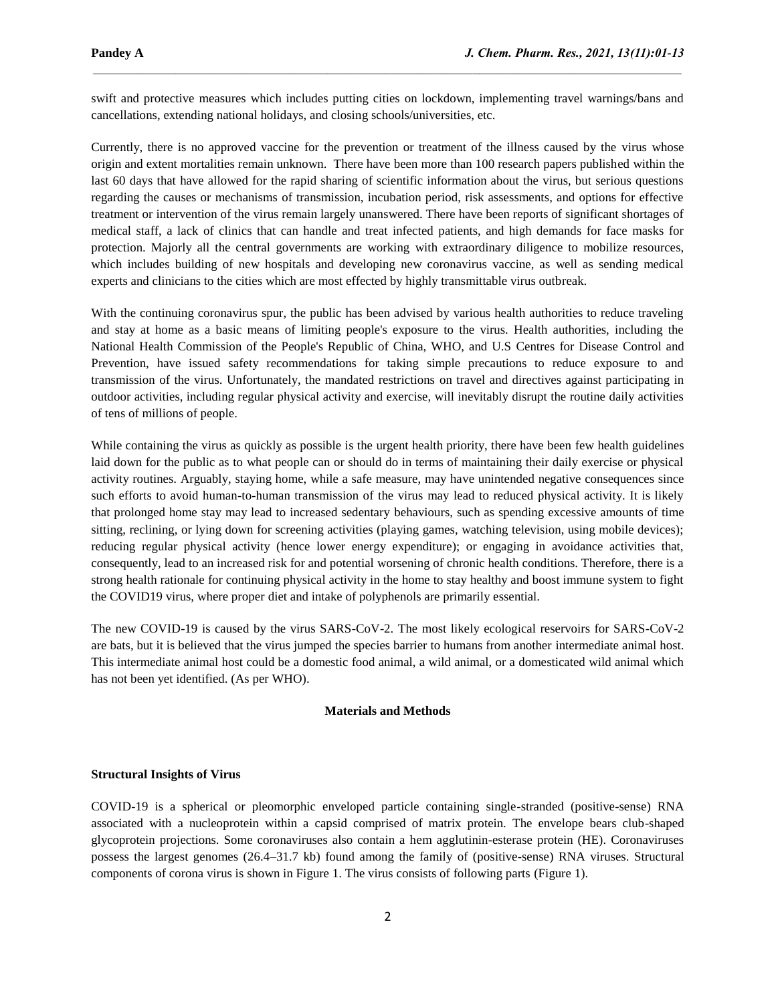swift and protective measures which includes putting cities on lockdown, implementing travel warnings/bans and cancellations, extending national holidays, and closing schools/universities, etc.

 $\mathcal{L}_\mathcal{L} = \mathcal{L}_\mathcal{L}$ 

Currently, there is no approved vaccine for the prevention or treatment of the illness caused by the virus whose origin and extent mortalities remain unknown. There have been more than 100 research papers published within the last 60 days that have allowed for the rapid sharing of scientific information about the virus, but serious questions regarding the causes or mechanisms of transmission, incubation period, risk assessments, and options for effective treatment or intervention of the virus remain largely unanswered. There have been reports of significant shortages of medical staff, a lack of clinics that can handle and treat infected patients, and high demands for face masks for protection. Majorly all the central governments are working with extraordinary diligence to mobilize resources, which includes building of new hospitals and developing new coronavirus vaccine, as well as sending medical experts and clinicians to the cities which are most effected by highly transmittable virus outbreak.

With the continuing coronavirus spur, the public has been advised by various health authorities to reduce traveling and stay at home as a basic means of limiting people's exposure to the virus. Health authorities, including the National Health Commission of the People's Republic of China, WHO, and U.S Centres for Disease Control and Prevention, have issued safety recommendations for taking simple precautions to reduce exposure to and transmission of the virus. Unfortunately, the mandated restrictions on travel and directives against participating in outdoor activities, including regular physical activity and exercise, will inevitably disrupt the routine daily activities of tens of millions of people.

While containing the virus as quickly as possible is the urgent health priority, there have been few health guidelines laid down for the public as to what people can or should do in terms of maintaining their daily exercise or physical activity routines. Arguably, staying home, while a safe measure, may have unintended negative consequences since such efforts to avoid human-to-human transmission of the virus may lead to reduced physical activity. It is likely that prolonged home stay may lead to increased sedentary behaviours, such as spending excessive amounts of time sitting, reclining, or lying down for screening activities (playing games, watching television, using mobile devices); reducing regular physical activity (hence lower energy expenditure); or engaging in avoidance activities that, consequently, lead to an increased risk for and potential worsening of chronic health conditions. Therefore, there is a strong health rationale for continuing physical activity in the home to stay healthy and boost immune system to fight the COVID19 virus, where proper diet and intake of polyphenols are primarily essential.

The new COVID-19 is caused by the virus SARS-CoV-2. The most likely ecological reservoirs for SARS-CoV-2 are bats, but it is believed that the virus jumped the species barrier to humans from another intermediate animal host. This intermediate animal host could be a domestic food animal, a wild animal, or a domesticated wild animal which has not been yet identified. (As per WHO).

#### **Materials and Methods**

#### **Structural Insights of Virus**

COVID-19 is a spherical or pleomorphic enveloped particle containing single-stranded (positive-sense) RNA associated with a nucleoprotein within a capsid comprised of matrix protein. The envelope bears club-shaped glycoprotein projections. Some coronaviruses also contain a hem agglutinin-esterase protein (HE). Coronaviruses possess the largest genomes (26.4–31.7 kb) found among the family of (positive-sense) RNA viruses. Structural components of corona virus is shown in Figure 1. The virus consists of following parts (Figure 1).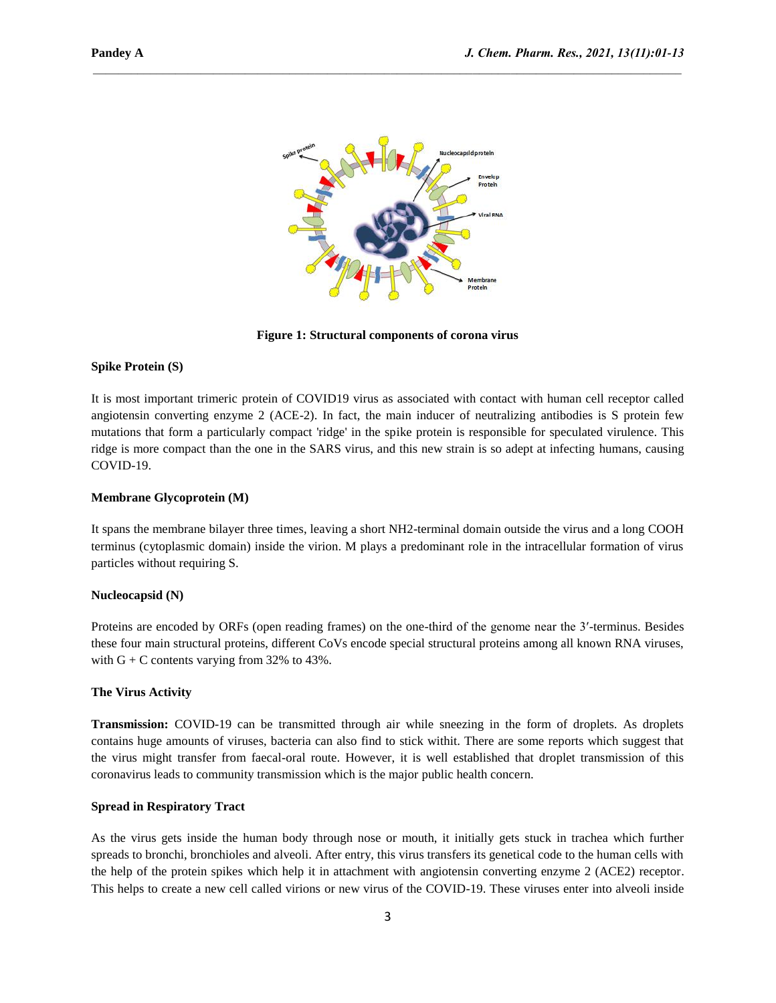

 $\mathcal{L}_\mathcal{L} = \mathcal{L}_\mathcal{L}$ 

**Figure 1: Structural components of corona virus**

#### **Spike Protein (S)**

It is most important trimeric protein of COVID19 virus as associated with contact with human cell receptor called angiotensin converting enzyme 2 (ACE-2). In fact, the main inducer of neutralizing antibodies is S protein few mutations that form a particularly compact 'ridge' in the spike protein is responsible for speculated virulence. This ridge is more compact than the one in the SARS virus, and this new strain is so adept at infecting humans, causing COVID-19.

### **Membrane Glycoprotein (M)**

It spans the membrane bilayer three times, leaving a short NH2-terminal domain outside the virus and a long COOH terminus (cytoplasmic domain) inside the virion. M plays a predominant role in the intracellular formation of virus particles without requiring S.

#### **Nucleocapsid (N)**

Proteins are encoded by ORFs (open reading frames) on the one-third of the genome near the 3′-terminus. Besides these four main structural proteins, different CoVs encode special structural proteins among all known RNA viruses, with  $G + C$  contents varying from 32% to 43%.

## **The Virus Activity**

**Transmission:** COVID-19 can be transmitted through air while sneezing in the form of droplets. As droplets contains huge amounts of viruses, bacteria can also find to stick withit. There are some reports which suggest that the virus might transfer from faecal-oral route. However, it is well established that droplet transmission of this coronavirus leads to community transmission which is the major public health concern.

## **Spread in Respiratory Tract**

As the virus gets inside the human body through nose or mouth, it initially gets stuck in trachea which further spreads to bronchi, bronchioles and alveoli. After entry, this virus transfers its genetical code to the human cells with the help of the protein spikes which help it in attachment with angiotensin converting enzyme 2 (ACE2) receptor. This helps to create a new cell called virions or new virus of the COVID-19. These viruses enter into alveoli inside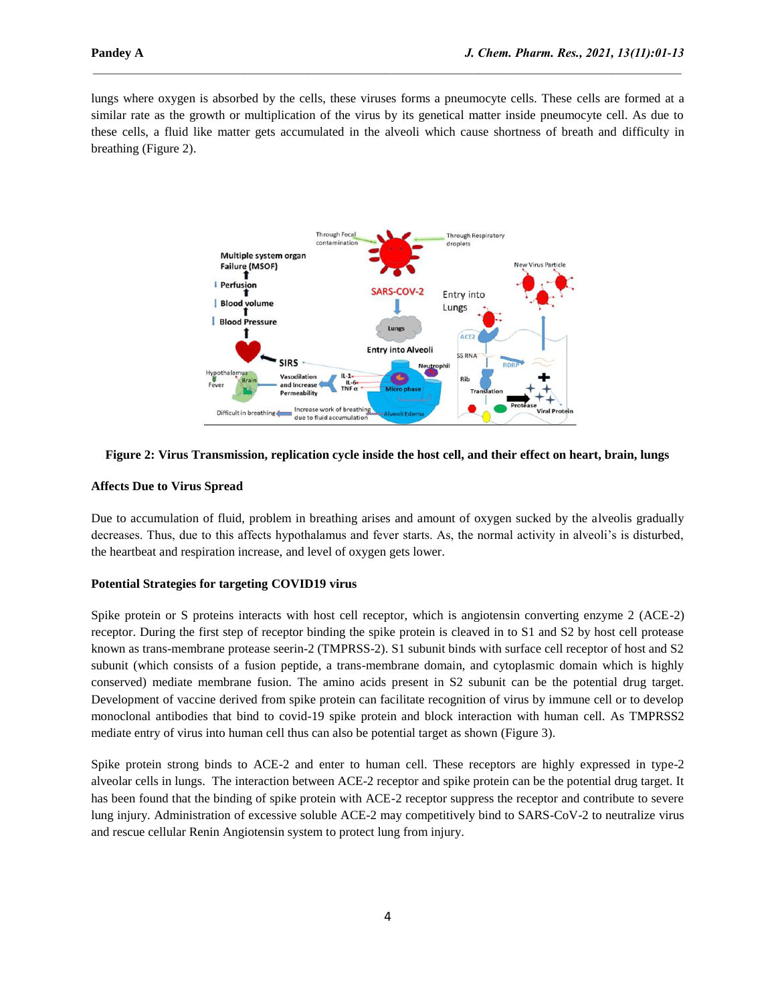lungs where oxygen is absorbed by the cells, these viruses forms a pneumocyte cells. These cells are formed at a similar rate as the growth or multiplication of the virus by its genetical matter inside pneumocyte cell. As due to these cells, a fluid like matter gets accumulated in the alveoli which cause shortness of breath and difficulty in breathing (Figure 2).

 $\mathcal{L}_\mathcal{L} = \mathcal{L}_\mathcal{L}$ 





#### **Affects Due to Virus Spread**

Due to accumulation of fluid, problem in breathing arises and amount of oxygen sucked by the alveolis gradually decreases. Thus, due to this affects hypothalamus and fever starts. As, the normal activity in alveoli's is disturbed, the heartbeat and respiration increase, and level of oxygen gets lower.

## **Potential Strategies for targeting COVID19 virus**

Spike protein or S proteins interacts with host cell receptor, which is angiotensin converting enzyme 2 (ACE-2) receptor. During the first step of receptor binding the spike protein is cleaved in to S1 and S2 by host cell protease known as trans-membrane protease seerin-2 (TMPRSS-2). S1 subunit binds with surface cell receptor of host and S2 subunit (which consists of a fusion peptide, a trans-membrane domain, and cytoplasmic domain which is highly conserved) mediate membrane fusion. The amino acids present in S2 subunit can be the potential drug target. Development of vaccine derived from spike protein can facilitate recognition of virus by immune cell or to develop monoclonal antibodies that bind to covid-19 spike protein and block interaction with human cell. As TMPRSS2 mediate entry of virus into human cell thus can also be potential target as shown (Figure 3).

Spike protein strong binds to ACE-2 and enter to human cell. These receptors are highly expressed in type-2 alveolar cells in lungs. The interaction between ACE-2 receptor and spike protein can be the potential drug target. It has been found that the binding of spike protein with ACE-2 receptor suppress the receptor and contribute to severe lung injury. Administration of excessive soluble ACE-2 may competitively bind to SARS-CoV-2 to neutralize virus and rescue cellular Renin Angiotensin system to protect lung from injury.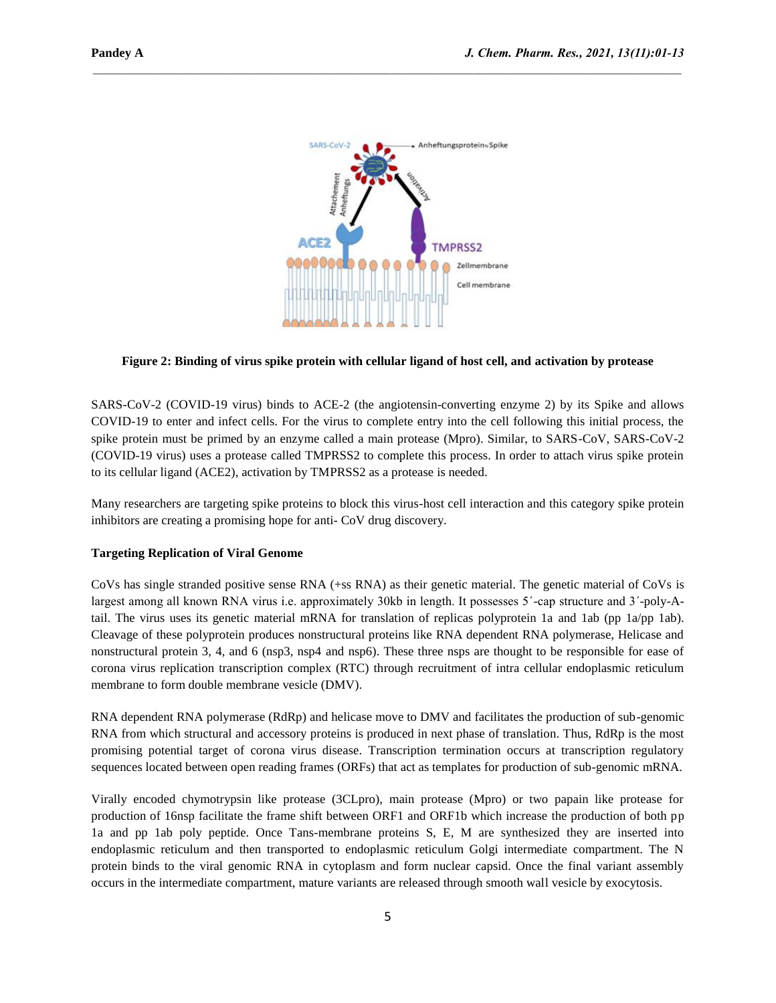

 $\mathcal{L}_\mathcal{L} = \mathcal{L}_\mathcal{L}$ 

## **Figure 2: Binding of virus spike protein with cellular ligand of host cell, and activation by protease**

SARS-CoV-2 (COVID-19 virus) binds to ACE-2 (the angiotensin-converting enzyme 2) by its Spike and allows COVID-19 to enter and infect cells. For the virus to complete entry into the cell following this initial process, the spike protein must be primed by an enzyme called a main protease (Mpro). Similar, to SARS-CoV, SARS-CoV-2 (COVID-19 virus) uses a protease called TMPRSS2 to complete this process. In order to attach virus spike protein to its cellular ligand (ACE2), activation by TMPRSS2 as a protease is needed.

Many researchers are targeting spike proteins to block this virus-host cell interaction and this category spike protein inhibitors are creating a promising hope for anti- CoV drug discovery.

#### **Targeting Replication of Viral Genome**

CoVs has single stranded positive sense RNA (+ss RNA) as their genetic material. The genetic material of CoVs is largest among all known RNA virus i.e. approximately 30kb in length. It possesses 5΄-cap structure and 3΄-poly-Atail. The virus uses its genetic material mRNA for translation of replicas polyprotein 1a and 1ab (pp 1a/pp 1ab). Cleavage of these polyprotein produces nonstructural proteins like RNA dependent RNA polymerase, Helicase and nonstructural protein 3, 4, and 6 (nsp3, nsp4 and nsp6). These three nsps are thought to be responsible for ease of corona virus replication transcription complex (RTC) through recruitment of intra cellular endoplasmic reticulum membrane to form double membrane vesicle (DMV).

RNA dependent RNA polymerase (RdRp) and helicase move to DMV and facilitates the production of sub-genomic RNA from which structural and accessory proteins is produced in next phase of translation. Thus, RdRp is the most promising potential target of corona virus disease. Transcription termination occurs at transcription regulatory sequences located between open reading frames (ORFs) that act as templates for production of sub-genomic mRNA.

Virally encoded chymotrypsin like protease (3CLpro), main protease (Mpro) or two papain like protease for production of 16nsp facilitate the frame shift between ORF1 and ORF1b which increase the production of both pp 1a and pp 1ab poly peptide. Once Tans-membrane proteins S, E, M are synthesized they are inserted into endoplasmic reticulum and then transported to endoplasmic reticulum Golgi intermediate compartment. The N protein binds to the viral genomic RNA in cytoplasm and form nuclear capsid. Once the final variant assembly occurs in the intermediate compartment, mature variants are released through smooth wall vesicle by exocytosis.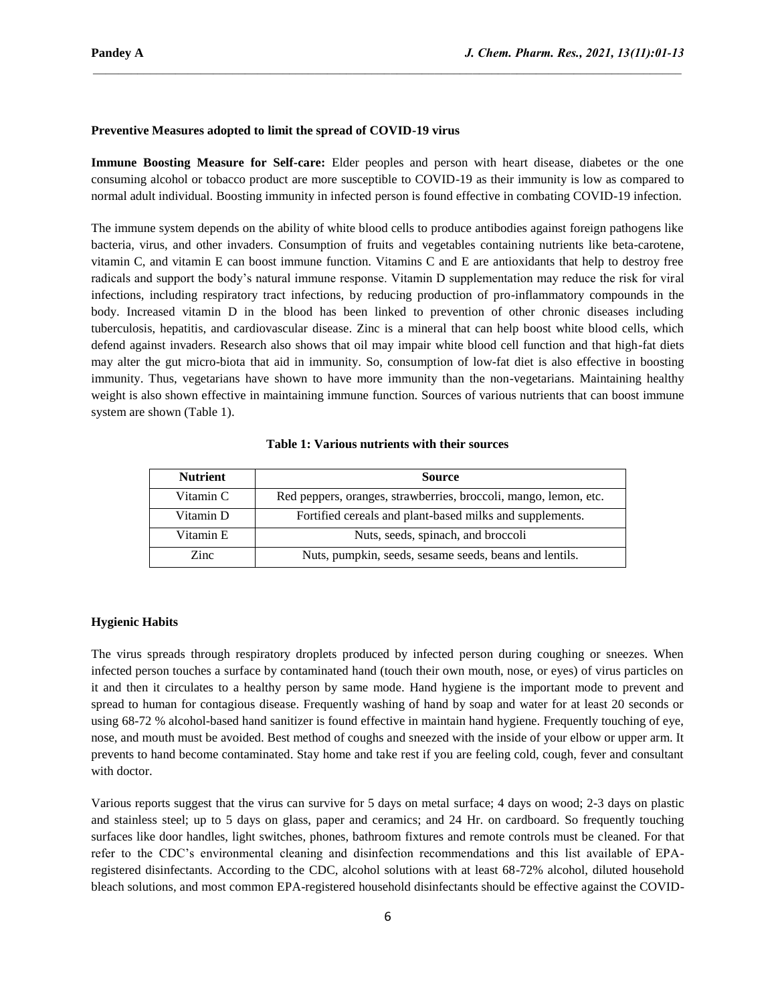# **Preventive Measures adopted to limit the spread of COVID-19 virus**

**Immune Boosting Measure for Self-care:** Elder peoples and person with heart disease, diabetes or the one consuming alcohol or tobacco product are more susceptible to COVID-19 as their immunity is low as compared to normal adult individual. Boosting immunity in infected person is found effective in combating COVID-19 infection.

 $\mathcal{L}_\mathcal{L} = \mathcal{L}_\mathcal{L}$ 

The immune system depends on the ability of white blood cells to produce antibodies against foreign pathogens like bacteria, virus, and other invaders. Consumption of fruits and vegetables containing nutrients like beta-carotene, vitamin C, and vitamin E can boost immune function. Vitamins C and E are antioxidants that help to destroy free radicals and support the body's natural immune response. Vitamin D supplementation may reduce the risk for viral infections, including respiratory tract infections, by reducing production of pro-inflammatory compounds in the body. Increased vitamin D in the blood has been linked to prevention of other chronic diseases including tuberculosis, hepatitis, and cardiovascular disease. Zinc is a mineral that can help boost white blood cells, which defend against invaders. Research also shows that oil may impair white blood cell function and that high-fat diets may alter the gut micro-biota that aid in immunity. So, consumption of low-fat diet is also effective in boosting immunity. Thus, vegetarians have shown to have more immunity than the non-vegetarians. Maintaining healthy weight is also shown effective in maintaining immune function. Sources of various nutrients that can boost immune system are shown (Table 1).

| <b>Nutrient</b> | <b>Source</b>                                                    |
|-----------------|------------------------------------------------------------------|
| Vitamin C       | Red peppers, oranges, strawberries, broccoli, mango, lemon, etc. |
| Vitamin D       | Fortified cereals and plant-based milks and supplements.         |
| Vitamin E       | Nuts, seeds, spinach, and broccoli                               |
| Zinc            | Nuts, pumpkin, seeds, sesame seeds, beans and lentils.           |

**Table 1: Various nutrients with their sources**

### **Hygienic Habits**

The virus spreads through respiratory droplets produced by infected person during coughing or sneezes. When infected person touches a surface by contaminated hand (touch their own mouth, nose, or eyes) of virus particles on it and then it circulates to a healthy person by same mode. Hand hygiene is the important mode to prevent and spread to human for contagious disease. Frequently washing of hand by soap and water for at least 20 seconds or using 68-72 % alcohol-based hand sanitizer is found effective in maintain hand hygiene. Frequently touching of eye, nose, and mouth must be avoided. Best method of coughs and sneezed with the inside of your elbow or upper arm. It prevents to hand become contaminated. Stay home and take rest if you are feeling cold, cough, fever and consultant with doctor.

Various reports suggest that the virus can survive for 5 days on metal surface; 4 days on wood; 2-3 days on plastic and stainless steel; up to 5 days on glass, paper and ceramics; and 24 Hr. on cardboard. So frequently touching surfaces like door handles, light switches, phones, bathroom fixtures and remote controls must be cleaned. For that refer to the CDC's environmental cleaning and disinfection recommendations and this list available of EPAregistered disinfectants. According to the CDC, alcohol solutions with at least 68-72% alcohol, diluted household bleach solutions, and most common EPA-registered household disinfectants should be effective against the COVID-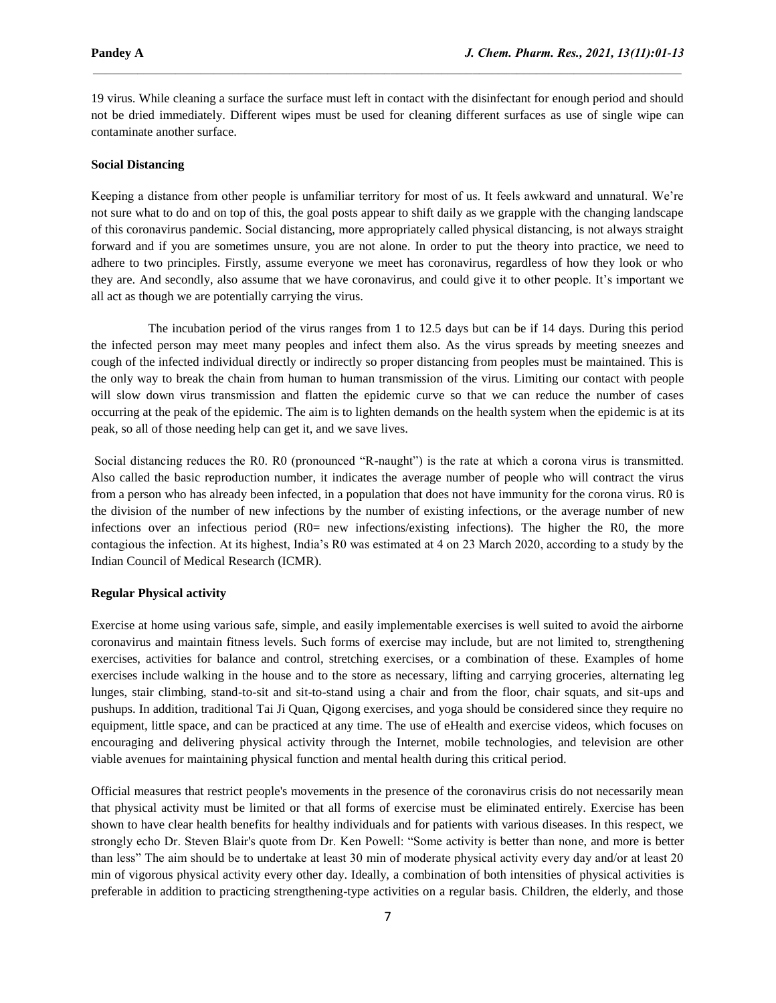19 virus. While cleaning a surface the surface must left in contact with the disinfectant for enough period and should not be dried immediately. Different wipes must be used for cleaning different surfaces as use of single wipe can contaminate another surface.

 $\mathcal{L}_\mathcal{L} = \mathcal{L}_\mathcal{L}$ 

### **Social Distancing**

Keeping a distance from other people is unfamiliar territory for most of us. It feels awkward and unnatural. We're not sure what to do and on top of this, the goal posts appear to shift daily as we grapple with the changing landscape of this coronavirus pandemic. Social distancing, more appropriately called physical distancing, is not always straight forward and if you are sometimes unsure, you are not alone. In order to put the theory into practice, we need to adhere to two principles. Firstly, assume everyone we meet has coronavirus, regardless of how they look or who they are. And secondly, also assume that we have coronavirus, and could give it to other people. It's important we all act as though we are potentially carrying the virus.

 The incubation period of the virus ranges from 1 to 12.5 days but can be if 14 days. During this period the infected person may meet many peoples and infect them also. As the virus spreads by meeting sneezes and cough of the infected individual directly or indirectly so proper distancing from peoples must be maintained. This is the only way to break the chain from human to human transmission of the virus. Limiting our contact with people will slow down virus transmission and flatten the epidemic curve so that we can reduce the number of cases occurring at the peak of the epidemic. The aim is to lighten demands on the health system when the epidemic is at its peak, so all of those needing help can get it, and we save lives.

Social distancing reduces the R0. R0 (pronounced "R-naught") is the rate at which a corona virus is transmitted. Also called the basic reproduction number, it indicates the average number of people who will contract the virus from a person who has already been infected, in a population that does not have immunity for the corona virus. R0 is the division of the number of new infections by the number of existing infections, or the average number of new infections over an infectious period  $(R0=$  new infections/existing infections). The higher the R0, the more contagious the infection. At its highest, India's R0 was estimated at 4 on 23 March 2020, according to a study by the Indian Council of Medical Research (ICMR).

#### **Regular Physical activity**

Exercise at home using various safe, simple, and easily implementable exercises is well suited to avoid the airborne coronavirus and maintain fitness levels. Such forms of exercise may include, but are not limited to, strengthening exercises, activities for balance and control, stretching exercises, or a combination of these. Examples of home exercises include walking in the house and to the store as necessary, lifting and carrying groceries, alternating leg lunges, stair climbing, stand-to-sit and sit-to-stand using a chair and from the floor, chair squats, and sit-ups and pushups. In addition, traditional Tai Ji Quan, Qigong exercises, and yoga should be considered since they require no equipment, little space, and can be practiced at any time. The use of eHealth and exercise videos, which focuses on encouraging and delivering physical activity through the Internet, mobile technologies, and television are other viable avenues for maintaining physical function and mental health during this critical period.

Official measures that restrict people's movements in the presence of the coronavirus crisis do not necessarily mean that physical activity must be limited or that all forms of exercise must be eliminated entirely. Exercise has been shown to have clear health benefits for healthy individuals and for patients with various diseases. In this respect, we strongly echo Dr. Steven Blair's quote from Dr. Ken Powell: "Some activity is better than none, and more is better than less" The aim should be to undertake at least 30 min of moderate physical activity every day and/or at least 20 min of vigorous physical activity every other day. Ideally, a combination of both intensities of physical activities is preferable in addition to practicing strengthening-type activities on a regular basis. Children, the elderly, and those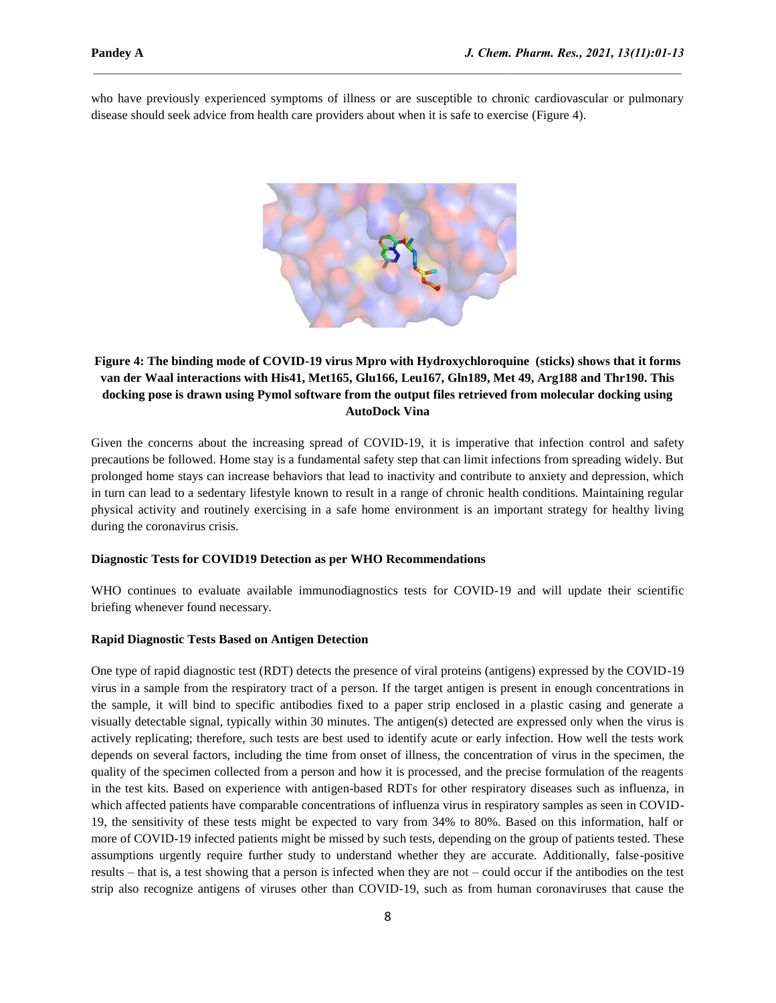who have previously experienced symptoms of illness or are susceptible to chronic cardiovascular or pulmonary disease should seek advice from health care providers about when it is safe to exercise (Figure 4).

 $\mathcal{L}_\mathcal{L} = \mathcal{L}_\mathcal{L}$ 



# **Figure 4: The binding mode of COVID-19 virus Mpro with Hydroxychloroquine (sticks) shows that it forms van der Waal interactions with His41, Met165, Glu166, Leu167, Gln189, Met 49, Arg188 and Thr190. This docking pose is drawn using Pymol software from the output files retrieved from molecular docking using AutoDock Vina**

Given the concerns about the increasing spread of COVID-19, it is imperative that infection control and safety precautions be followed. Home stay is a fundamental safety step that can limit infections from spreading widely. But prolonged home stays can increase behaviors that lead to inactivity and contribute to anxiety and depression, which in turn can lead to a sedentary lifestyle known to result in a range of chronic health conditions. Maintaining regular physical activity and routinely exercising in a safe home environment is an important strategy for healthy living during the coronavirus crisis.

## **Diagnostic Tests for COVID19 Detection as per WHO Recommendations**

WHO continues to evaluate available immunodiagnostics tests for COVID-19 and will update their scientific briefing whenever found necessary.

## **Rapid Diagnostic Tests Based on Antigen Detection**

One type of rapid diagnostic test (RDT) detects the presence of viral proteins (antigens) expressed by the COVID-19 virus in a sample from the respiratory tract of a person. If the target antigen is present in enough concentrations in the sample, it will bind to specific antibodies fixed to a paper strip enclosed in a plastic casing and generate a visually detectable signal, typically within 30 minutes. The antigen(s) detected are expressed only when the virus is actively replicating; therefore, such tests are best used to identify acute or early infection. How well the tests work depends on several factors, including the time from onset of illness, the concentration of virus in the specimen, the quality of the specimen collected from a person and how it is processed, and the precise formulation of the reagents in the test kits. Based on experience with antigen-based RDTs for other respiratory diseases such as influenza, in which affected patients have comparable concentrations of influenza virus in respiratory samples as seen in COVID-19, the sensitivity of these tests might be expected to vary from 34% to 80%. Based on this information, half or more of COVID-19 infected patients might be missed by such tests, depending on the group of patients tested. These assumptions urgently require further study to understand whether they are accurate. Additionally, false-positive results – that is, a test showing that a person is infected when they are not – could occur if the antibodies on the test strip also recognize antigens of viruses other than COVID-19, such as from human coronaviruses that cause the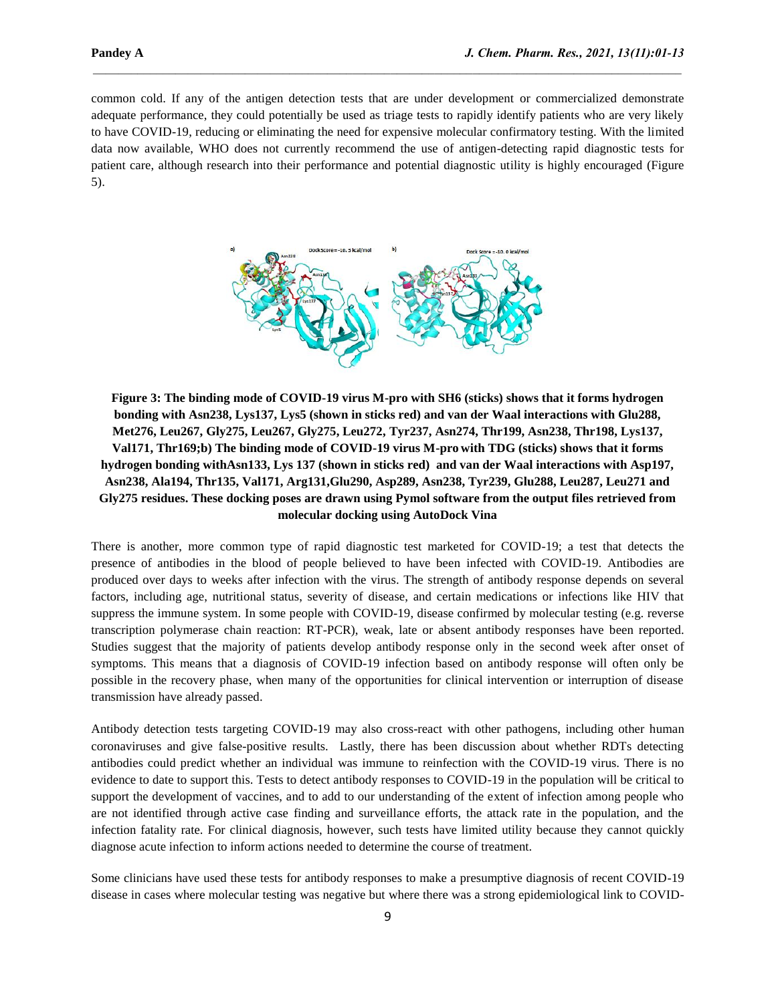common cold. If any of the antigen detection tests that are under development or commercialized demonstrate adequate performance, they could potentially be used as triage tests to rapidly identify patients who are very likely to have COVID-19, reducing or eliminating the need for expensive molecular confirmatory testing. With the limited data now available, WHO does not currently recommend the use of antigen-detecting rapid diagnostic tests for patient care, although research into their performance and potential diagnostic utility is highly encouraged (Figure 5).

 $\mathcal{L}_\mathcal{L} = \mathcal{L}_\mathcal{L}$ 



**Figure 3: The binding mode of COVID-19 virus M-pro with SH6 (sticks) shows that it forms hydrogen bonding with Asn238, Lys137, Lys5 (shown in sticks red) and van der Waal interactions with Glu288, Met276, Leu267, Gly275, Leu267, Gly275, Leu272, Tyr237, Asn274, Thr199, Asn238, Thr198, Lys137, Val171, Thr169;b) The binding mode of COVID-19 virus M-pro with TDG (sticks) shows that it forms hydrogen bonding withAsn133, Lys 137 (shown in sticks red) and van der Waal interactions with Asp197, Asn238, Ala194, Thr135, Val171, Arg131,Glu290, Asp289, Asn238, Tyr239, Glu288, Leu287, Leu271 and Gly275 residues. These docking poses are drawn using Pymol software from the output files retrieved from molecular docking using AutoDock Vina**

There is another, more common type of rapid diagnostic test marketed for COVID-19; a test that detects the presence of antibodies in the blood of people believed to have been infected with COVID-19. Antibodies are produced over days to weeks after infection with the virus. The strength of antibody response depends on several factors, including age, nutritional status, severity of disease, and certain medications or infections like HIV that suppress the immune system. In some people with COVID-19, disease confirmed by molecular testing (e.g. reverse transcription polymerase chain reaction: RT-PCR), weak, late or absent antibody responses have been reported. Studies suggest that the majority of patients develop antibody response only in the second week after onset of symptoms. This means that a diagnosis of COVID-19 infection based on antibody response will often only be possible in the recovery phase, when many of the opportunities for clinical intervention or interruption of disease transmission have already passed.

Antibody detection tests targeting COVID-19 may also cross-react with other pathogens, including other human coronaviruses and give false-positive results. Lastly, there has been discussion about whether RDTs detecting antibodies could predict whether an individual was immune to reinfection with the COVID-19 virus. There is no evidence to date to support this. Tests to detect antibody responses to COVID-19 in the population will be critical to support the development of vaccines, and to add to our understanding of the extent of infection among people who are not identified through active case finding and surveillance efforts, the attack rate in the population, and the infection fatality rate. For clinical diagnosis, however, such tests have limited utility because they cannot quickly diagnose acute infection to inform actions needed to determine the course of treatment.

Some clinicians have used these tests for antibody responses to make a presumptive diagnosis of recent COVID-19 disease in cases where molecular testing was negative but where there was a strong epidemiological link to COVID-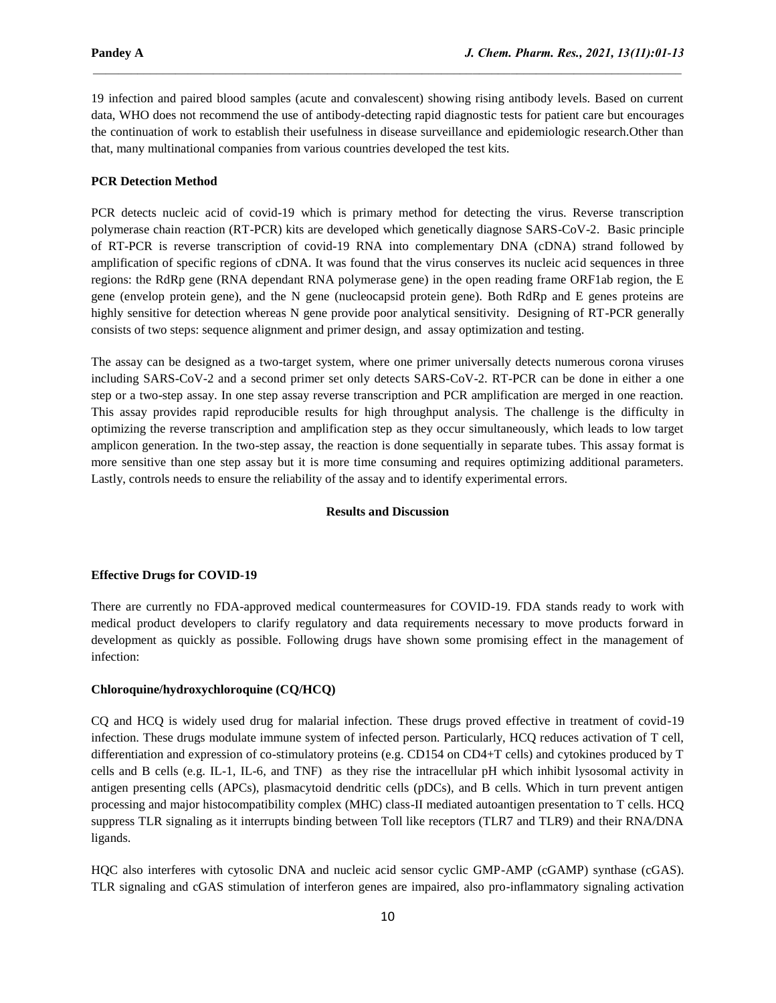19 infection and paired blood samples (acute and convalescent) showing rising antibody levels. Based on current data, WHO does not recommend the use of antibody-detecting rapid diagnostic tests for patient care but encourages the continuation of work to establish their usefulness in disease surveillance and epidemiologic research.Other than that, many multinational companies from various countries developed the test kits.

 $\mathcal{L}_\mathcal{L} = \mathcal{L}_\mathcal{L}$ 

## **PCR Detection Method**

PCR detects nucleic acid of covid-19 which is primary method for detecting the virus. Reverse transcription polymerase chain reaction (RT-PCR) kits are developed which genetically diagnose SARS-CoV-2. Basic principle of RT-PCR is reverse transcription of covid-19 RNA into complementary DNA (cDNA) strand followed by amplification of specific regions of cDNA. It was found that the virus conserves its nucleic acid sequences in three regions: the RdRp gene (RNA dependant RNA polymerase gene) in the open reading frame ORF1ab region, the E gene (envelop protein gene), and the N gene (nucleocapsid protein gene). Both RdRp and E genes proteins are highly sensitive for detection whereas N gene provide poor analytical sensitivity. Designing of RT-PCR generally consists of two steps: sequence alignment and primer design, and assay optimization and testing.

The assay can be designed as a two-target system, where one primer universally detects numerous corona viruses including SARS-CoV-2 and a second primer set only detects SARS-CoV-2. RT-PCR can be done in either a one step or a two-step assay. In one step assay reverse transcription and PCR amplification are merged in one reaction. This assay provides rapid reproducible results for high throughput analysis. The challenge is the difficulty in optimizing the reverse transcription and amplification step as they occur simultaneously, which leads to low target amplicon generation. In the two-step assay, the reaction is done sequentially in separate tubes. This assay format is more sensitive than one step assay but it is more time consuming and requires optimizing additional parameters. Lastly, controls needs to ensure the reliability of the assay and to identify experimental errors.

#### **Results and Discussion**

#### **Effective Drugs for COVID-19**

There are currently no FDA-approved medical countermeasures for COVID-19. FDA stands ready to work with medical product developers to clarify regulatory and data requirements necessary to move products forward in development as quickly as possible. Following drugs have shown some promising effect in the management of infection:

## **Chloroquine/hydroxychloroquine (CQ/HCQ)**

CQ and HCQ is widely used drug for malarial infection. These drugs proved effective in treatment of covid-19 infection. These drugs modulate immune system of infected person. Particularly, HCQ reduces activation of T cell, differentiation and expression of co-stimulatory proteins (e.g. CD154 on CD4+T cells) and cytokines produced by T cells and B cells (e.g. IL-1, IL-6, and TNF) as they rise the intracellular pH which inhibit lysosomal activity in antigen presenting cells (APCs), plasmacytoid dendritic cells (pDCs), and B cells. Which in turn prevent antigen processing and major histocompatibility complex (MHC) class-II mediated autoantigen presentation to T cells. HCQ suppress TLR signaling as it interrupts binding between Toll like receptors (TLR7 and TLR9) and their RNA/DNA ligands.

HQC also interferes with cytosolic DNA and nucleic acid sensor cyclic GMP-AMP (cGAMP) synthase (cGAS). TLR signaling and cGAS stimulation of interferon genes are impaired, also pro-inflammatory signaling activation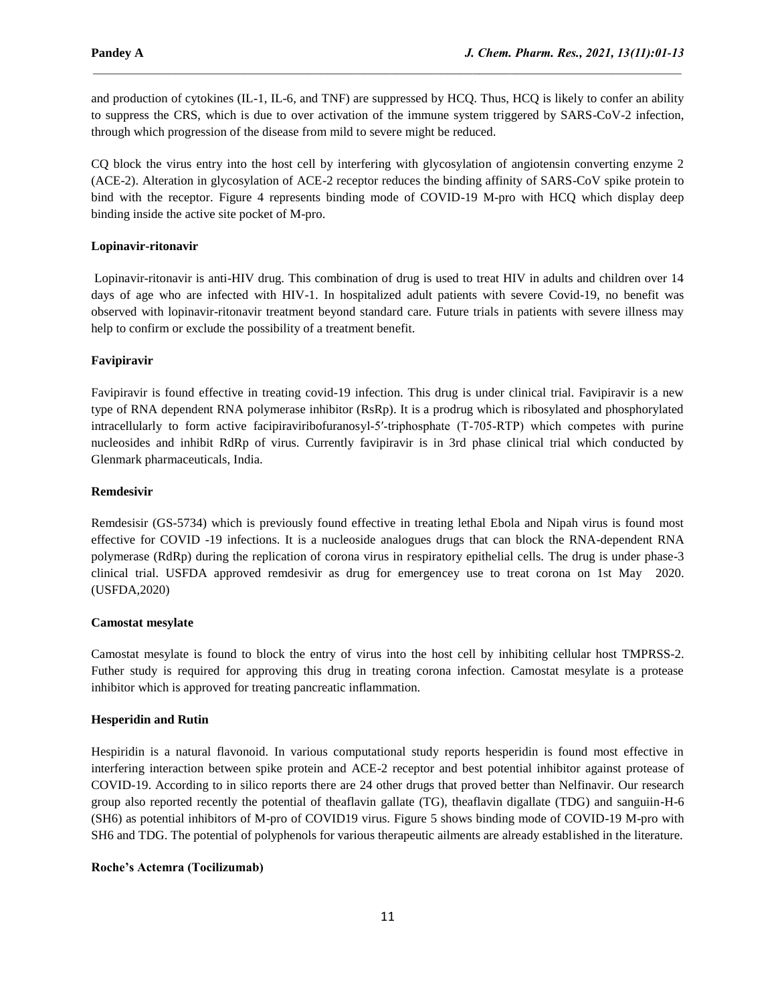and production of cytokines (IL-1, IL-6, and TNF) are suppressed by HCQ. Thus, HCQ is likely to confer an ability to suppress the CRS, which is due to over activation of the immune system triggered by SARS-CoV-2 infection, through which progression of the disease from mild to severe might be reduced.

 $\mathcal{L}_\mathcal{L} = \mathcal{L}_\mathcal{L}$ 

CQ block the virus entry into the host cell by interfering with glycosylation of angiotensin converting enzyme 2 (ACE-2). Alteration in glycosylation of ACE-2 receptor reduces the binding affinity of SARS-CoV spike protein to bind with the receptor. Figure 4 represents binding mode of COVID-19 M-pro with HCQ which display deep binding inside the active site pocket of M-pro.

# **Lopinavir-ritonavir**

Lopinavir-ritonavir is anti-HIV drug. This combination of drug is used to treat HIV in adults and children over 14 days of age who are infected with HIV-1. In hospitalized adult patients with severe Covid-19, no benefit was observed with lopinavir-ritonavir treatment beyond standard care. Future trials in patients with severe illness may help to confirm or exclude the possibility of a treatment benefit.

## **Favipiravir**

Favipiravir is found effective in treating covid-19 infection. This drug is under clinical trial. Favipiravir is a new type of RNA dependent RNA polymerase inhibitor (RsRp). It is a prodrug which is ribosylated and phosphorylated intracellularly to form active facipiraviribofuranosyl‐5′‐triphosphate (T‐705‐RTP) which competes with purine nucleosides and inhibit RdRp of virus. Currently favipiravir is in 3rd phase clinical trial which conducted by Glenmark pharmaceuticals, India.

## **Remdesivir**

Remdesisir (GS-5734) which is previously found effective in treating lethal Ebola and Nipah virus is found most effective for COVID -19 infections. It is a nucleoside analogues drugs that can block the RNA-dependent RNA polymerase (RdRp) during the replication of corona virus in respiratory epithelial cells. The drug is under phase-3 clinical trial. USFDA approved remdesivir as drug for emergencey use to treat corona on 1st May 2020. (USFDA,2020)

## **Camostat mesylate**

Camostat mesylate is found to block the entry of virus into the host cell by inhibiting cellular host TMPRSS-2. Futher study is required for approving this drug in treating corona infection. Camostat mesylate is a protease inhibitor which is approved for treating pancreatic inflammation.

## **Hesperidin and Rutin**

Hespiridin is a natural flavonoid. In various computational study reports hesperidin is found most effective in interfering interaction between spike protein and ACE-2 receptor and best potential inhibitor against protease of COVID-19. According to in silico reports there are 24 other drugs that proved better than Nelfinavir. Our research group also reported recently the potential of theaflavin gallate (TG), theaflavin digallate (TDG) and sanguiin-H-6 (SH6) as potential inhibitors of M-pro of COVID19 virus. Figure 5 shows binding mode of COVID-19 M-pro with SH6 and TDG. The potential of polyphenols for various therapeutic ailments are already established in the literature.

# **Roche's Actemra (Tocilizumab)**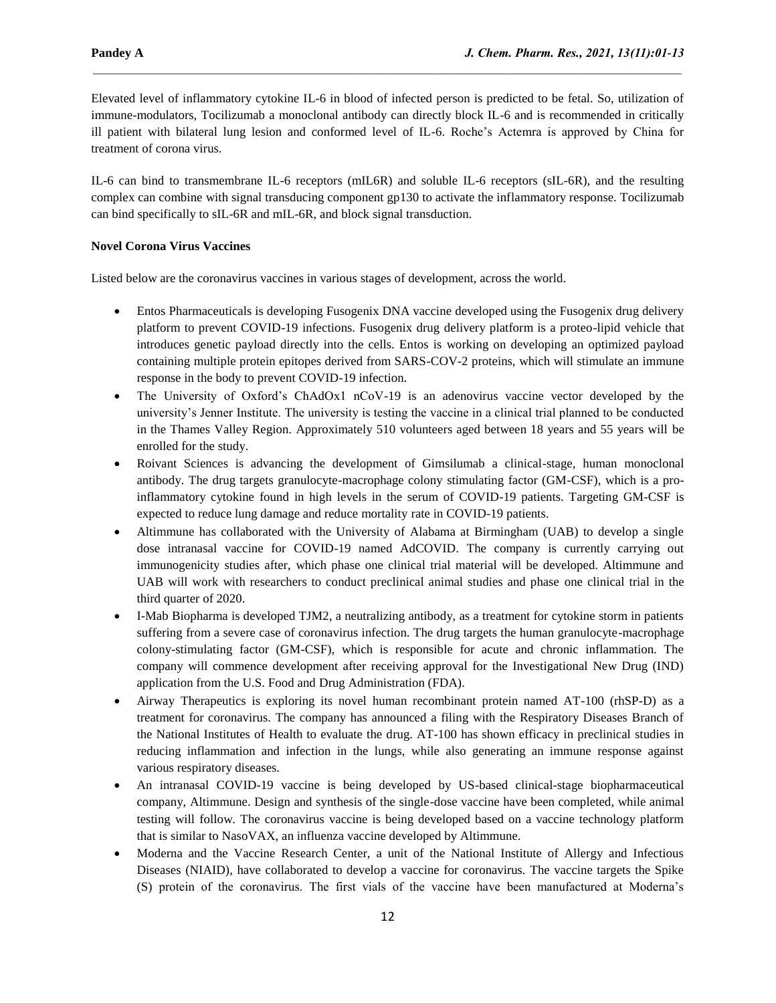Elevated level of inflammatory cytokine IL-6 in blood of infected person is predicted to be fetal. So, utilization of immune-modulators, Tocilizumab a monoclonal antibody can directly block IL-6 and is recommended in critically ill patient with bilateral lung lesion and conformed level of IL-6. Roche's Actemra is approved by China for treatment of corona virus.

 $\mathcal{L}_\mathcal{L} = \mathcal{L}_\mathcal{L}$ 

IL-6 can bind to transmembrane IL-6 receptors (mIL6R) and soluble IL-6 receptors (sIL-6R), and the resulting complex can combine with signal transducing component gp130 to activate the inflammatory response. Tocilizumab can bind specifically to sIL-6R and mIL-6R, and block signal transduction.

# **Novel Corona Virus Vaccines**

Listed below are the coronavirus vaccines in various stages of development, across the world.

- Entos Pharmaceuticals is developing Fusogenix DNA vaccine developed using the Fusogenix drug delivery platform to prevent COVID-19 infections. Fusogenix drug delivery platform is a proteo-lipid vehicle that introduces genetic payload directly into the cells. Entos is working on developing an optimized payload containing multiple protein epitopes derived from SARS-COV-2 proteins, which will stimulate an immune response in the body to prevent COVID-19 infection.
- The University of Oxford's ChAdOx1 nCoV-19 is an adenovirus vaccine vector developed by the university's Jenner Institute. The university is testing the vaccine in a clinical trial planned to be conducted in the Thames Valley Region. Approximately 510 volunteers aged between 18 years and 55 years will be enrolled for the study.
- Roivant Sciences is advancing the development of Gimsilumab a clinical-stage, human monoclonal antibody. The drug targets granulocyte-macrophage colony stimulating factor (GM-CSF), which is a proinflammatory cytokine found in high levels in the serum of COVID-19 patients. Targeting GM-CSF is expected to reduce lung damage and reduce mortality rate in COVID-19 patients.
- Altimmune has collaborated with the University of Alabama at Birmingham (UAB) to develop a single dose intranasal vaccine for COVID-19 named AdCOVID. The company is currently carrying out immunogenicity studies after, which phase one clinical trial material will be developed. Altimmune and UAB will work with researchers to conduct preclinical animal studies and phase one clinical trial in the third quarter of 2020.
- I-Mab Biopharma is developed TJM2, a neutralizing antibody, as a treatment for cytokine storm in patients suffering from a severe case of coronavirus infection. The drug targets the human granulocyte-macrophage colony-stimulating factor (GM-CSF), which is responsible for acute and chronic inflammation. The company will commence development after receiving approval for the Investigational New Drug (IND) application from the U.S. Food and Drug Administration (FDA).
- Airway Therapeutics is exploring its novel human recombinant protein named AT-100 (rhSP-D) as a treatment for coronavirus. The company has announced a filing with the Respiratory Diseases Branch of the National Institutes of Health to evaluate the drug. AT-100 has shown efficacy in preclinical studies in reducing inflammation and infection in the lungs, while also generating an immune response against various respiratory diseases.
- An intranasal COVID-19 vaccine is being developed by US-based clinical-stage biopharmaceutical company, Altimmune. Design and synthesis of the single-dose vaccine have been completed, while animal testing will follow. The coronavirus vaccine is being developed based on a vaccine technology platform that is similar to NasoVAX, an influenza vaccine developed by Altimmune.
- Moderna and the Vaccine Research Center, a unit of the National Institute of Allergy and Infectious Diseases (NIAID), have collaborated to develop a vaccine for coronavirus. The vaccine targets the Spike (S) protein of the coronavirus. The first vials of the vaccine have been manufactured at Moderna's